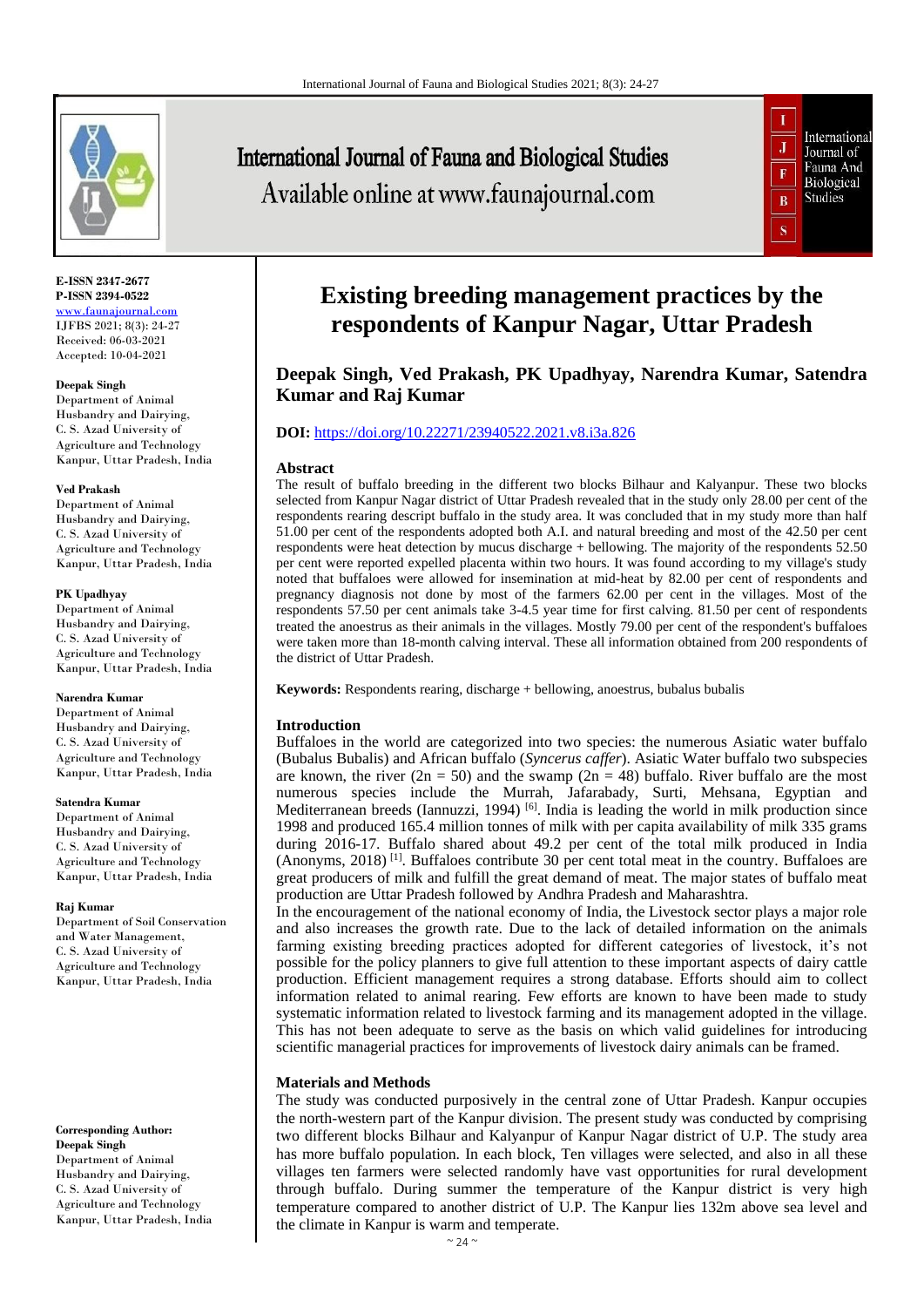

**E-ISSN 2347-2677 P-ISSN 2394-0522** [www.faunajournal.com](http://www.faunajournal.com/) IJFBS 2021; 8(3): 24-27 Received: 06-03-2021

Accepted: 10-04-2021

#### **Deepak Singh**

Department of Animal Husbandry and Dairying, C. S. Azad University of Agriculture and Technology Kanpur, Uttar Pradesh, India

#### **Ved Prakash**

Department of Animal Husbandry and Dairying, C. S. Azad University of Agriculture and Technology Kanpur, Uttar Pradesh, India

#### **PK Upadhyay**

Department of Animal Husbandry and Dairying, C. S. Azad University of Agriculture and Technology Kanpur, Uttar Pradesh, India

#### **Narendra Kumar**

Department of Animal Husbandry and Dairying, C. S. Azad University of Agriculture and Technology Kanpur, Uttar Pradesh, India

#### **Satendra Kumar**

Department of Animal Husbandry and Dairying, C. S. Azad University of Agriculture and Technology Kanpur, Uttar Pradesh, India

#### **Raj Kumar**

Department of Soil Conservation and Water Management, C. S. Azad University of Agriculture and Technology Kanpur, Uttar Pradesh, India

**Corresponding Author: Deepak Singh** Department of Animal Husbandry and Dairying, C. S. Azad University of Agriculture and Technology Kanpur, Uttar Pradesh, India

# **International Journal of Fauna and Biological Studies** Available online at www.faunajournal.com



## **Existing breeding management practices by the respondents of Kanpur Nagar, Uttar Pradesh**

**Deepak Singh, Ved Prakash, PK Upadhyay, Narendra Kumar, Satendra Kumar and Raj Kumar**

## **DOI:** <https://doi.org/10.22271/23940522.2021.v8.i3a.826>

## **Abstract**

The result of buffalo breeding in the different two blocks Bilhaur and Kalyanpur. These two blocks selected from Kanpur Nagar district of Uttar Pradesh revealed that in the study only 28.00 per cent of the respondents rearing descript buffalo in the study area. It was concluded that in my study more than half 51.00 per cent of the respondents adopted both A.I. and natural breeding and most of the 42.50 per cent respondents were heat detection by mucus discharge + bellowing. The majority of the respondents 52.50 per cent were reported expelled placenta within two hours. It was found according to my village's study noted that buffaloes were allowed for insemination at mid-heat by 82.00 per cent of respondents and pregnancy diagnosis not done by most of the farmers 62.00 per cent in the villages. Most of the respondents 57.50 per cent animals take 3-4.5 year time for first calving. 81.50 per cent of respondents treated the anoestrus as their animals in the villages. Mostly 79.00 per cent of the respondent's buffaloes were taken more than 18-month calving interval. These all information obtained from 200 respondents of the district of Uttar Pradesh.

**Keywords:** Respondents rearing, discharge + bellowing, anoestrus, bubalus bubalis

## **Introduction**

Buffaloes in the world are categorized into two species: the numerous Asiatic water buffalo (Bubalus Bubalis) and African buffalo (*Syncerus caffer*). Asiatic Water buffalo two subspecies are known, the river (2n = 50) and the swamp (2n = 48) buffalo. River buffalo are the most numerous species include the Murrah, Jafarabady, Surti, Mehsana, Egyptian and Mediterranean breeds (Iannuzzi, 1994)  $[6]$ . India is leading the world in milk production since 1998 and produced 165.4 million tonnes of milk with per capita availability of milk 335 grams during 2016-17. Buffalo shared about 49.2 per cent of the total milk produced in India (Anonyms, 2018) [1]. Buffaloes contribute 30 per cent total meat in the country. Buffaloes are great producers of milk and fulfill the great demand of meat. The major states of buffalo meat production are Uttar Pradesh followed by Andhra Pradesh and Maharashtra.

In the encouragement of the national economy of India, the Livestock sector plays a major role and also increases the growth rate. Due to the lack of detailed information on the animals farming existing breeding practices adopted for different categories of livestock, it's not possible for the policy planners to give full attention to these important aspects of dairy cattle production. Efficient management requires a strong database. Efforts should aim to collect information related to animal rearing. Few efforts are known to have been made to study systematic information related to livestock farming and its management adopted in the village. This has not been adequate to serve as the basis on which valid guidelines for introducing scientific managerial practices for improvements of livestock dairy animals can be framed.

## **Materials and Methods**

The study was conducted purposively in the central zone of Uttar Pradesh. Kanpur occupies the north-western part of the Kanpur division. The present study was conducted by comprising two different blocks Bilhaur and Kalyanpur of Kanpur Nagar district of U.P. The study area has more buffalo population. In each block, Ten villages were selected, and also in all these villages ten farmers were selected randomly have vast opportunities for rural development through buffalo. During summer the temperature of the Kanpur district is very high temperature compared to another district of U.P. The Kanpur lies 132m above sea level and the climate in Kanpur is warm and temperate.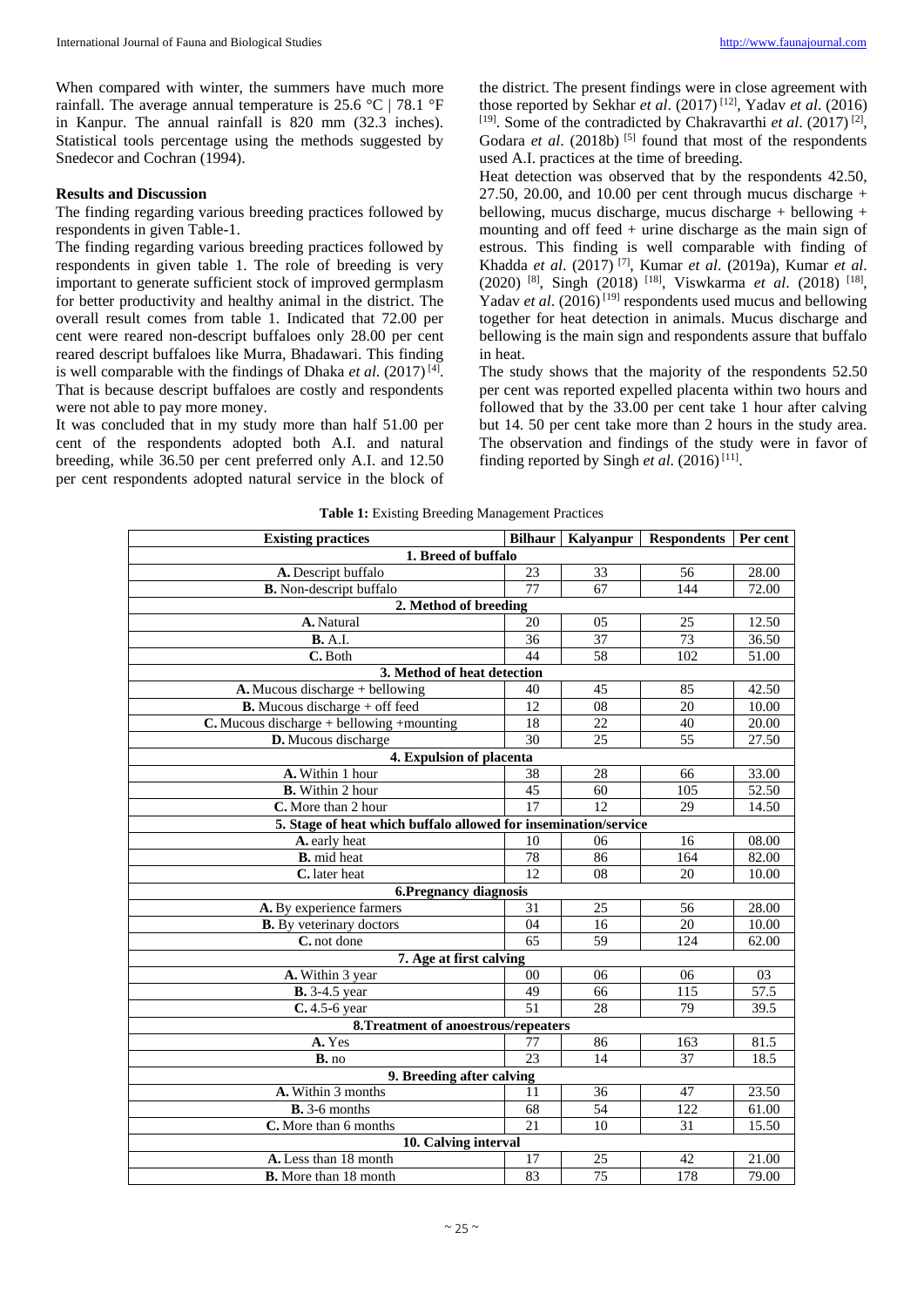When compared with winter, the summers have much more rainfall. The average annual temperature is 25.6 °C | 78.1 °F in Kanpur. The annual rainfall is 820 mm (32.3 inches). Statistical tools percentage using the methods suggested by Snedecor and Cochran (1994).

## **Results and Discussion**

The finding regarding various breeding practices followed by respondents in given Table-1.

The finding regarding various breeding practices followed by respondents in given table 1. The role of breeding is very important to generate sufficient stock of improved germplasm for better productivity and healthy animal in the district. The overall result comes from table 1. Indicated that 72.00 per cent were reared non-descript buffaloes only 28.00 per cent reared descript buffaloes like Murra, Bhadawari. This finding is well comparable with the findings of Dhaka *et al.* (2017)<sup>[4]</sup>. That is because descript buffaloes are costly and respondents were not able to pay more money.

It was concluded that in my study more than half 51.00 per cent of the respondents adopted both A.I. and natural breeding, while 36.50 per cent preferred only A.I. and 12.50 per cent respondents adopted natural service in the block of

the district. The present findings were in close agreement with those reported by Sekhar *et al*. (2017) [12], Yadav *et al*. (2016) [19]. Some of the contradicted by Chakravarthi *et al.* (2017)<sup>[2]</sup>, Godara *et al.* (2018b)<sup>[5]</sup> found that most of the respondents used A.I. practices at the time of breeding.

Heat detection was observed that by the respondents 42.50, 27.50, 20.00, and 10.00 per cent through mucus discharge  $+$ bellowing, mucus discharge, mucus discharge + bellowing + mounting and off feed + urine discharge as the main sign of estrous. This finding is well comparable with finding of Khadda *et al*. (2017) [7], Kumar *et al*. (2019a), Kumar *et al*. (2020) [8], Singh (2018) [18], Viswkarma *et al*. (2018) [18] , Yadav *et al.* (2016)<sup>[19]</sup> respondents used mucus and bellowing together for heat detection in animals. Mucus discharge and bellowing is the main sign and respondents assure that buffalo in heat.

The study shows that the majority of the respondents 52.50 per cent was reported expelled placenta within two hours and followed that by the 33.00 per cent take 1 hour after calving but 14. 50 per cent take more than 2 hours in the study area. The observation and findings of the study were in favor of finding reported by Singh *et al.*  $(2016)^{[11]}$ .

|  | <b>Table 1:</b> Existing Breeding Management Practices |  |
|--|--------------------------------------------------------|--|
|  |                                                        |  |

| <b>Existing practices</b>                                       | <b>Bilhaur</b>  | Kalyanpur | <b>Respondents</b> | Per cent |  |  |  |  |
|-----------------------------------------------------------------|-----------------|-----------|--------------------|----------|--|--|--|--|
| 1. Breed of buffalo                                             |                 |           |                    |          |  |  |  |  |
| A. Descript buffalo                                             | 23              | 33        | 56                 | 28.00    |  |  |  |  |
| <b>B.</b> Non-descript buffalo                                  | 77              | 67        | 144                | 72.00    |  |  |  |  |
| 2. Method of breeding                                           |                 |           |                    |          |  |  |  |  |
| A. Natural                                                      | 20              | 05        | 25                 | 12.50    |  |  |  |  |
| <b>B.</b> A.I.                                                  | 36              | 37        | 73                 | 36.50    |  |  |  |  |
| C. Both                                                         | 44              | 58        | 102                | 51.00    |  |  |  |  |
| 3. Method of heat detection                                     |                 |           |                    |          |  |  |  |  |
| A. Mucous discharge + bellowing                                 | 40              | 45        | 85                 | 42.50    |  |  |  |  |
| <b>B.</b> Mucous discharge $+$ off feed                         | 12              | 08        | 20                 | 10.00    |  |  |  |  |
| $C$ . Mucous discharge + bellowing + mounting                   |                 | 22        | 40                 | 20.00    |  |  |  |  |
| D. Mucous discharge                                             |                 | 25        | 55                 | 27.50    |  |  |  |  |
| 4. Expulsion of placenta                                        |                 |           |                    |          |  |  |  |  |
| A. Within 1 hour                                                | 38              | 28        | 66                 | 33.00    |  |  |  |  |
| <b>B.</b> Within 2 hour                                         | 45              | 60        | 105                | 52.50    |  |  |  |  |
| C. More than 2 hour                                             | 17              | 12        | 29                 | 14.50    |  |  |  |  |
| 5. Stage of heat which buffalo allowed for insemination/service |                 |           |                    |          |  |  |  |  |
| A. early heat                                                   | 10              | 06        | 16                 | 08.00    |  |  |  |  |
| <b>B.</b> mid heat                                              | 78              | 86        | 164                | 82.00    |  |  |  |  |
| C. later heat                                                   | 12.             | 08        | 20                 | 10.00    |  |  |  |  |
| 6. Pregnancy diagnosis                                          |                 |           |                    |          |  |  |  |  |
| A. By experience farmers                                        | 31              | 25        | 56                 | 28.00    |  |  |  |  |
| <b>B.</b> By veterinary doctors                                 | 04              | 16        | 20                 | 10.00    |  |  |  |  |
| C. not done                                                     | 65              | 59        | 124                | 62.00    |  |  |  |  |
| 7. Age at first calving                                         |                 |           |                    |          |  |  |  |  |
| A. Within 3 year                                                | 00              | 06        | 06                 | 03       |  |  |  |  |
| <b>B.</b> 3-4.5 year                                            | 49              | 66        | 115                | 57.5     |  |  |  |  |
| $C.4.5-6$ year                                                  | 51              | 28        | 79                 | 39.5     |  |  |  |  |
| 8. Treatment of anoestrous/repeaters                            |                 |           |                    |          |  |  |  |  |
| A. Yes                                                          | 77              | 86        | 163                | 81.5     |  |  |  |  |
| B. no                                                           | $\overline{23}$ | 14        | 37                 | 18.5     |  |  |  |  |
| 9. Breeding after calving                                       |                 |           |                    |          |  |  |  |  |
| A. Within 3 months                                              | 11              | 36        | 47                 | 23.50    |  |  |  |  |
| $B. 3-6$ months                                                 | 68              | 54        | 122                | 61.00    |  |  |  |  |
| C. More than 6 months                                           | 21              | 10        | 31                 | 15.50    |  |  |  |  |
| 10. Calving interval                                            |                 |           |                    |          |  |  |  |  |
| A. Less than 18 month                                           | 17              | 25        | 42                 | 21.00    |  |  |  |  |
| <b>B.</b> More than 18 month                                    | 83              | 75        | 178                | 79.00    |  |  |  |  |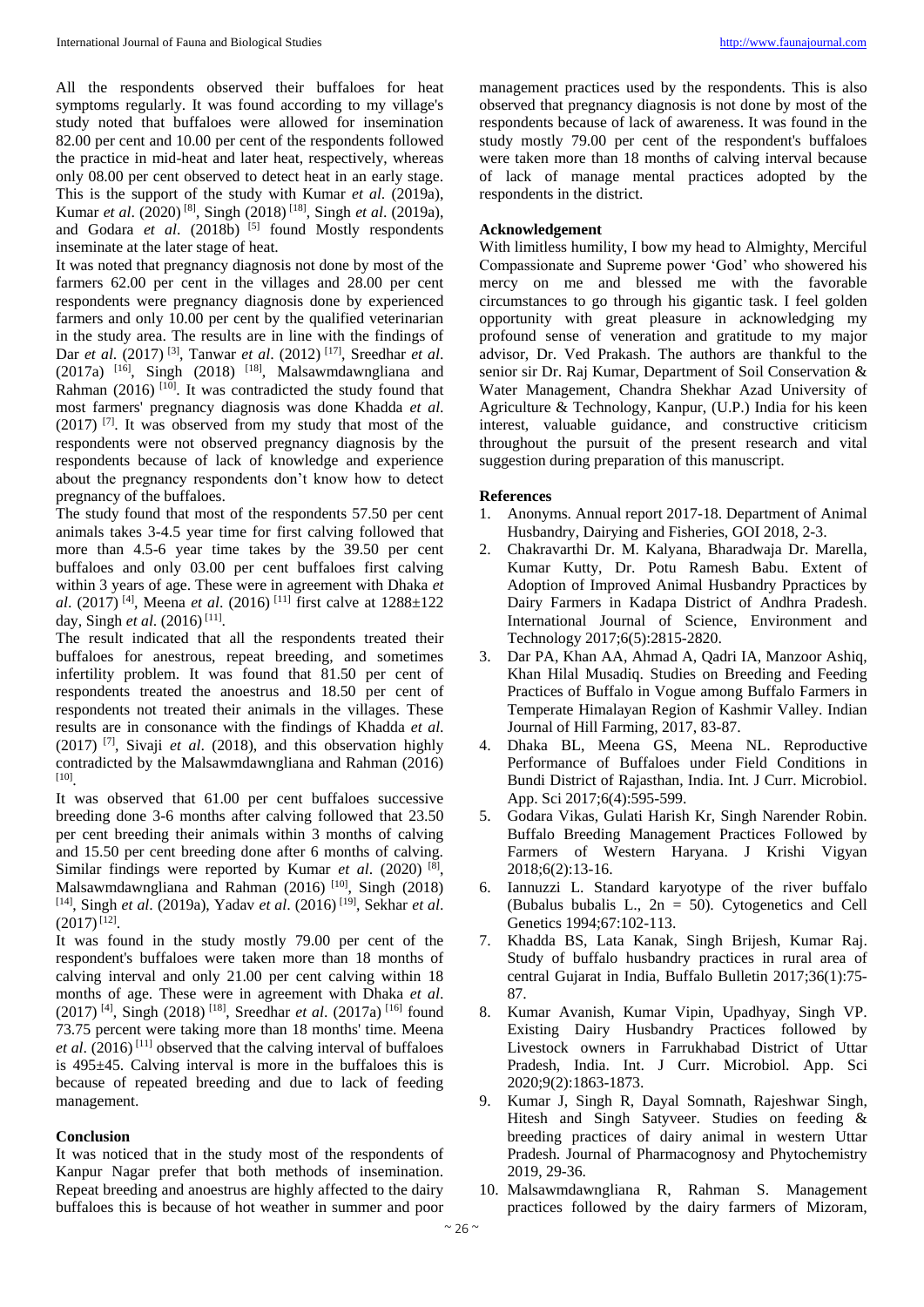All the respondents observed their buffaloes for heat symptoms regularly. It was found according to my village's study noted that buffaloes were allowed for insemination 82.00 per cent and 10.00 per cent of the respondents followed the practice in mid-heat and later heat, respectively, whereas only 08.00 per cent observed to detect heat in an early stage. This is the support of the study with Kumar *et al*. (2019a), Kumar *et al*. (2020) [8], Singh (2018) [18], Singh *et al*. (2019a), and Godara et al. (2018b) [5] found Mostly respondents inseminate at the later stage of heat.

It was noted that pregnancy diagnosis not done by most of the farmers 62.00 per cent in the villages and 28.00 per cent respondents were pregnancy diagnosis done by experienced farmers and only 10.00 per cent by the qualified veterinarian in the study area. The results are in line with the findings of Dar *et al*. (2017) [3], Tanwar *et al*. (2012) [17] , Sreedhar *et al*. (2017a)  $[16]$ , Singh (2018)  $[18]$ , Malsawmdawngliana and Rahman (2016)  $[10]$ . It was contradicted the study found that most farmers' pregnancy diagnosis was done Khadda *et al*.  $(2017)$  [7]. It was observed from my study that most of the respondents were not observed pregnancy diagnosis by the respondents because of lack of knowledge and experience about the pregnancy respondents don't know how to detect pregnancy of the buffaloes.

The study found that most of the respondents 57.50 per cent animals takes 3-4.5 year time for first calving followed that more than 4.5-6 year time takes by the 39.50 per cent buffaloes and only 03.00 per cent buffaloes first calving within 3 years of age. These were in agreement with Dhaka *et al*. (2017) [4], Meena *et al*. (2016) [11] first calve at 1288±122 day, Singh *et al.* (2016)<sup>[11]</sup>.

The result indicated that all the respondents treated their buffaloes for anestrous, repeat breeding, and sometimes infertility problem. It was found that 81.50 per cent of respondents treated the anoestrus and 18.50 per cent of respondents not treated their animals in the villages. These results are in consonance with the findings of Khadda *et al*. (2017) [7], Sivaji *et al*. (2018), and this observation highly contradicted by the Malsawmdawngliana and Rahman (2016) [10] .

It was observed that 61.00 per cent buffaloes successive breeding done 3-6 months after calving followed that 23.50 per cent breeding their animals within 3 months of calving and 15.50 per cent breeding done after 6 months of calving. Similar findings were reported by Kumar et al. (2020)<sup>[8]</sup>, Malsawmdawngliana and Rahman (2016) <sup>[10]</sup>, Singh (2018) [14], Singh *et al*. (2019a), Yadav *et al*. (2016) [19], Sekhar *et al*.  $(2017)^{[12]}$ .

It was found in the study mostly 79.00 per cent of the respondent's buffaloes were taken more than 18 months of calving interval and only 21.00 per cent calving within 18 months of age. These were in agreement with Dhaka *et al*. (2017) [4], Singh (2018) [18], Sreedhar *et al*. (2017a) [16] found 73.75 percent were taking more than 18 months' time. Meena *et al.*  $(2016)$ <sup>[11]</sup> observed that the calving interval of buffaloes is 495±45. Calving interval is more in the buffaloes this is because of repeated breeding and due to lack of feeding management.

## **Conclusion**

It was noticed that in the study most of the respondents of Kanpur Nagar prefer that both methods of insemination. Repeat breeding and anoestrus are highly affected to the dairy buffaloes this is because of hot weather in summer and poor

management practices used by the respondents. This is also observed that pregnancy diagnosis is not done by most of the respondents because of lack of awareness. It was found in the study mostly 79.00 per cent of the respondent's buffaloes were taken more than 18 months of calving interval because of lack of manage mental practices adopted by the respondents in the district.

## **Acknowledgement**

With limitless humility, I bow my head to Almighty, Merciful Compassionate and Supreme power 'God' who showered his mercy on me and blessed me with the favorable circumstances to go through his gigantic task. I feel golden opportunity with great pleasure in acknowledging my profound sense of veneration and gratitude to my major advisor, Dr. Ved Prakash. The authors are thankful to the senior sir Dr. Raj Kumar, Department of Soil Conservation & Water Management, Chandra Shekhar Azad University of Agriculture & Technology, Kanpur, (U.P.) India for his keen interest, valuable guidance, and constructive criticism throughout the pursuit of the present research and vital suggestion during preparation of this manuscript.

## **References**

- 1. Anonyms. Annual report 2017-18. Department of Animal Husbandry, Dairying and Fisheries, GOI 2018, 2-3.
- 2. Chakravarthi Dr. M. Kalyana, Bharadwaja Dr. Marella, Kumar Kutty, Dr. Potu Ramesh Babu. Extent of Adoption of Improved Animal Husbandry Ppractices by Dairy Farmers in Kadapa District of Andhra Pradesh. International Journal of Science, Environment and Technology 2017;6(5):2815-2820.
- 3. Dar PA, Khan AA, Ahmad A, Qadri IA, Manzoor Ashiq, Khan Hilal Musadiq. Studies on Breeding and Feeding Practices of Buffalo in Vogue among Buffalo Farmers in Temperate Himalayan Region of Kashmir Valley. Indian Journal of Hill Farming, 2017, 83-87.
- 4. Dhaka BL, Meena GS, Meena NL. Reproductive Performance of Buffaloes under Field Conditions in Bundi District of Rajasthan, India. Int. J Curr. Microbiol. App. Sci 2017;6(4):595-599.
- 5. Godara Vikas, Gulati Harish Kr, Singh Narender Robin. Buffalo Breeding Management Practices Followed by Farmers of Western Haryana. J Krishi Vigyan 2018;6(2):13-16.
- 6. Iannuzzi L. Standard karyotype of the river buffalo (Bubalus bubalis L., 2n = 50). Cytogenetics and Cell Genetics 1994;67:102-113.
- 7. Khadda BS, Lata Kanak, Singh Brijesh, Kumar Raj. Study of buffalo husbandry practices in rural area of central Gujarat in India, Buffalo Bulletin 2017;36(1):75- 87.
- 8. Kumar Avanish, Kumar Vipin, Upadhyay, Singh VP. Existing Dairy Husbandry Practices followed by Livestock owners in Farrukhabad District of Uttar Pradesh, India. Int. J Curr. Microbiol. App. Sci 2020;9(2):1863-1873.
- 9. Kumar J, Singh R, Dayal Somnath, Rajeshwar Singh, Hitesh and Singh Satyveer. Studies on feeding & breeding practices of dairy animal in western Uttar Pradesh. Journal of Pharmacognosy and Phytochemistry 2019, 29-36.
- 10. Malsawmdawngliana R, Rahman S. Management practices followed by the dairy farmers of Mizoram,